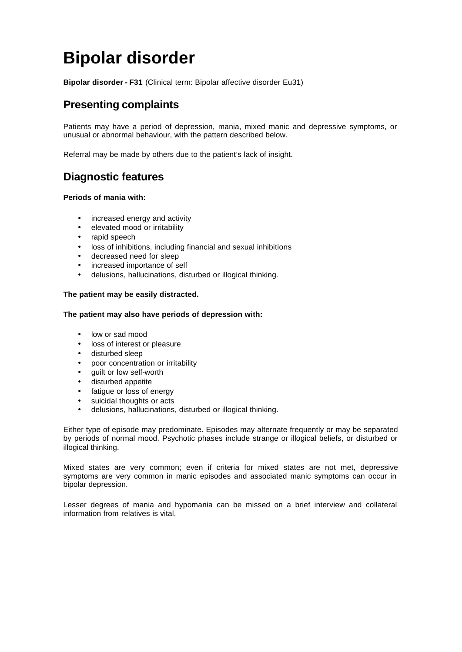# **Bipolar disorder**

**Bipolar disorder - F31** (Clinical term: Bipolar affective disorder Eu31)

# **Presenting complaints**

Patients may have a period of depression, mania, mixed manic and depressive symptoms, or unusual or abnormal behaviour, with the pattern described below.

Referral may be made by others due to the patient's lack of insight.

# **Diagnostic features**

## **Periods of mania with:**

- increased energy and activity
- elevated mood or irritability
- rapid speech
- loss of inhibitions, including financial and sexual inhibitions
- decreased need for sleep
- increased importance of self
- delusions, hallucinations, disturbed or illogical thinking.

## **The patient may be easily distracted.**

## **The patient may also have periods of depression with:**

- low or sad mood
- loss of interest or pleasure
- disturbed sleep
- poor concentration or irritability
- guilt or low self-worth
- disturbed appetite
- fatigue or loss of energy
- suicidal thoughts or acts
- delusions, hallucinations, disturbed or illogical thinking.

Either type of episode may predominate. Episodes may alternate frequently or may be separated by periods of normal mood. Psychotic phases include strange or illogical beliefs, or disturbed or illogical thinking.

Mixed states are very common; even if criteria for mixed states are not met, depressive symptoms are very common in manic episodes and associated manic symptoms can occur in bipolar depression.

Lesser degrees of mania and hypomania can be missed on a brief interview and collateral information from relatives is vital.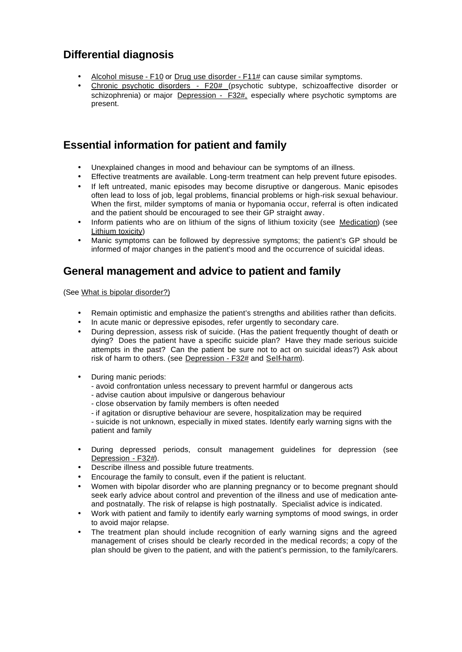# **Differential diagnosis**

- Alcohol misuse F10 or Drug use disorder F11# can cause similar symptoms.
- Chronic psychotic disorders F20# (psychotic subtype, schizoaffective disorder or schizophrenia) or major Depression - F32#, especially where psychotic symptoms are present.

# **Essential information for patient and family**

- Unexplained changes in mood and behaviour can be symptoms of an illness.
- Effective treatments are available. Long-term treatment can help prevent future episodes.
- If left untreated, manic episodes may become disruptive or dangerous. Manic episodes often lead to loss of job, legal problems, financial problems or high-risk sexual behaviour. When the first, milder symptoms of mania or hypomania occur, referral is often indicated and the patient should be encouraged to see their GP straight away.
- Inform patients who are on lithium of the signs of lithium toxicity (see Medication) (see Lithium toxicity)
- Manic symptoms can be followed by depressive symptoms; the patient's GP should be informed of major changes in the patient's mood and the occurrence of suicidal ideas.

## **General management and advice to patient and family**

(See What is bipolar disorder?)

- Remain optimistic and emphasize the patient's strengths and abilities rather than deficits.
- In acute manic or depressive episodes, refer urgently to secondary care.
- During depression, assess risk of suicide. (Has the patient frequently thought of death or dying? Does the patient have a specific suicide plan? Have they made serious suicide attempts in the past? Can the patient be sure not to act on suicidal ideas?) Ask about risk of harm to others. (see Depression - F32# and Self-harm).
- During manic periods:
	- avoid confrontation unless necessary to prevent harmful or dangerous acts
	- advise caution about impulsive or dangerous behaviour
	- close observation by family members is often needed

- if agitation or disruptive behaviour are severe, hospitalization may be required - suicide is not unknown, especially in mixed states. Identify early warning signs with the patient and family

- During depressed periods, consult management guidelines for depression (see Depression - F32#).
- Describe illness and possible future treatments.
- Encourage the family to consult, even if the patient is reluctant.
- Women with bipolar disorder who are planning pregnancy or to become pregnant should seek early advice about control and prevention of the illness and use of medication anteand postnatally. The risk of relapse is high postnatally. Specialist advice is indicated.
- Work with patient and family to identify early warning symptoms of mood swings, in order to avoid major relapse.
- The treatment plan should include recognition of early warning signs and the agreed management of crises should be clearly recorded in the medical records; a copy of the plan should be given to the patient, and with the patient's permission, to the family/carers.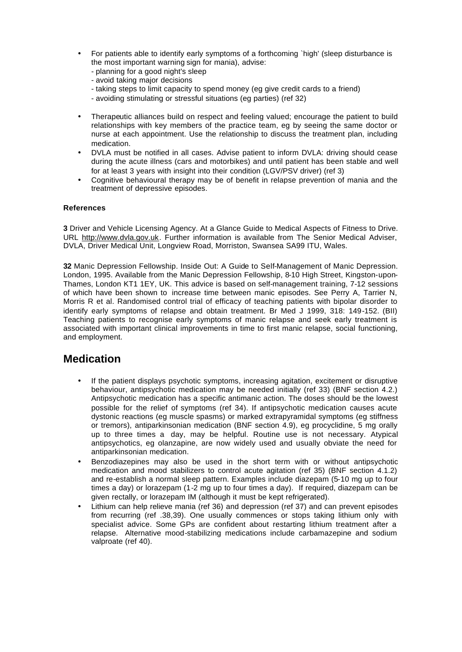- For patients able to identify early symptoms of a forthcoming `high' (sleep disturbance is the most important warning sign for mania), advise:
	- planning for a good night's sleep
	- avoid taking major decisions
	- taking steps to limit capacity to spend money (eg give credit cards to a friend)
	- avoiding stimulating or stressful situations (eg parties) (ref 32)
- Therapeutic alliances build on respect and feeling valued; encourage the patient to build relationships with key members of the practice team, eg by seeing the same doctor or nurse at each appointment. Use the relationship to discuss the treatment plan, including medication.
- DVLA must be notified in all cases. Advise patient to inform DVLA: driving should cease during the acute illness (cars and motorbikes) and until patient has been stable and well for at least 3 years with insight into their condition (LGV/PSV driver) (ref 3)
- Cognitive behavioural therapy may be of benefit in relapse prevention of mania and the treatment of depressive episodes.

#### **References**

**3** Driver and Vehicle Licensing Agency. At a Glance Guide to Medical Aspects of Fitness to Drive. URL http://www.dvla.gov.uk. Further information is available from The Senior Medical Adviser, DVLA, Driver Medical Unit, Longview Road, Morriston, Swansea SA99 ITU, Wales.

**32** Manic Depression Fellowship. Inside Out: A Guide to Self-Management of Manic Depression. London, 1995. Available from the Manic Depression Fellowship, 8-10 High Street, Kingston-upon-Thames, London KT1 1EY, UK. This advice is based on self-management training, 7-12 sessions of which have been shown to increase time between manic episodes. See Perry A, Tarrier N, Morris R et al. Randomised control trial of efficacy of teaching patients with bipolar disorder to identify early symptoms of relapse and obtain treatment. Br Med J 1999, 318: 149-152. (BII) Teaching patients to recognise early symptoms of manic relapse and seek early treatment is associated with important clinical improvements in time to first manic relapse, social functioning, and employment.

## **Medication**

- If the patient displays psychotic symptoms, increasing agitation, excitement or disruptive behaviour, antipsychotic medication may be needed initially (ref 33) (BNF section 4.2.) Antipsychotic medication has a specific antimanic action. The doses should be the lowest possible for the relief of symptoms (ref 34). If antipsychotic medication causes acute dystonic reactions (eg muscle spasms) or marked extrapyramidal symptoms (eg stiffness or tremors), antiparkinsonian medication (BNF section 4.9), eg procyclidine, 5 mg orally up to three times a day, may be helpful. Routine use is not necessary. Atypical antipsychotics, eg olanzapine, are now widely used and usually obviate the need for antiparkinsonian medication.
- Benzodiazepines may also be used in the short term with or without antipsychotic medication and mood stabilizers to control acute agitation (ref 35) (BNF section 4.1.2) and re-establish a normal sleep pattern. Examples include diazepam (5-10 mg up to four times a day) or lorazepam (1-2 mg up to four times a day). If required, diazepam can be given rectally, or lorazepam IM (although it must be kept refrigerated).
- Lithium can help relieve mania (ref 36) and depression (ref 37) and can prevent episodes from recurring (ref .38,39). One usually commences or stops taking lithium only with specialist advice. Some GPs are confident about restarting lithium treatment after a relapse. Alternative mood-stabilizing medications include carbamazepine and sodium valproate (ref 40).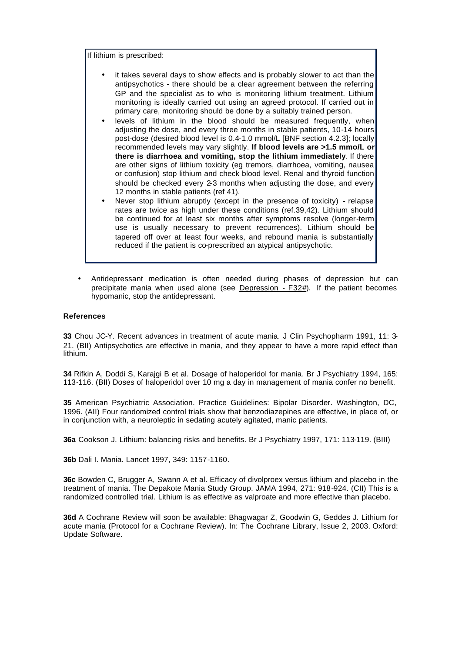If lithium is prescribed:

- it takes several days to show effects and is probably slower to act than the antipsychotics - there should be a clear agreement between the referring GP and the specialist as to who is monitoring lithium treatment. Lithium monitoring is ideally carried out using an agreed protocol. If carried out in primary care, monitoring should be done by a suitably trained person.
- levels of lithium in the blood should be measured frequently, when adjusting the dose, and every three months in stable patients, 10-14 hours post-dose (desired blood level is 0.4-1.0 mmol/L [BNF section 4.2.3]; locally recommended levels may vary slightly. **If blood levels are >1.5 mmo/L or there is diarrhoea and vomiting, stop the lithium immediately**. If there are other signs of lithium toxicity (eg tremors, diarrhoea, vomiting, nausea or confusion) stop lithium and check blood level. Renal and thyroid function should be checked every 2-3 months when adjusting the dose, and every 12 months in stable patients (ref 41).
- Never stop lithium abruptly (except in the presence of toxicity) relapse rates are twice as high under these conditions (ref.39,42). Lithium should be continued for at least six months after symptoms resolve (longer-term use is usually necessary to prevent recurrences). Lithium should be tapered off over at least four weeks, and rebound mania is substantially reduced if the patient is co-prescribed an atypical antipsychotic.
- Antidepressant medication is often needed during phases of depression but can precipitate mania when used alone (see Depression - F32#). If the patient becomes hypomanic, stop the antidepressant.

#### **References**

**33** Chou JC-Y. Recent advances in treatment of acute mania. J Clin Psychopharm 1991, 11: 3- 21. (BII) Antipsychotics are effective in mania, and they appear to have a more rapid effect than lithium.

**34** Rifkin A, Doddi S, Karajgi B et al. Dosage of haloperidol for mania. Br J Psychiatry 1994, 165: 113-116. (BII) Doses of haloperidol over 10 mg a day in management of mania confer no benefit.

**35** American Psychiatric Association. Practice Guidelines: Bipolar Disorder. Washington, DC, 1996. (AII) Four randomized control trials show that benzodiazepines are effective, in place of, or in conjunction with, a neuroleptic in sedating acutely agitated, manic patients.

**36a** Cookson J. Lithium: balancing risks and benefits. Br J Psychiatry 1997, 171: 113-119. (BIII)

**36b** Dali I. Mania. Lancet 1997, 349: 1157-1160.

**36c** Bowden C, Brugger A, Swann A et al. Efficacy of divolproex versus lithium and placebo in the treatment of mania. The Depakote Mania Study Group. JAMA 1994, 271: 918-924. (CII) This is a randomized controlled trial. Lithium is as effective as valproate and more effective than placebo.

**36d** A Cochrane Review will soon be available: Bhagwagar Z, Goodwin G, Geddes J. Lithium for acute mania (Protocol for a Cochrane Review). In: The Cochrane Library, Issue 2, 2003. Oxford: Update Software.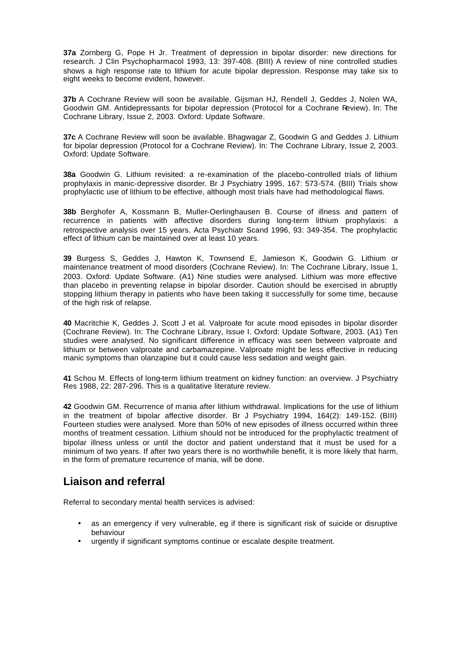**37a** Zornberg G, Pope H Jr. Treatment of depression in bipolar disorder: new directions for research. J Clin Psychopharmacol 1993, 13: 397-408. (BIII) A review of nine controlled studies shows a high response rate to lithium for acute bipolar depression. Response may take six to eight weeks to become evident, however.

**37b** A Cochrane Review will soon be available. Gijsman HJ, Rendell J, Geddes J, Nolen WA, Goodwin GM. Antidepressants for bipolar depression (Protocol for a Cochrane Review). In: The Cochrane Library, Issue 2, 2003. Oxford: Update Software.

**37c** A Cochrane Review will soon be available. Bhagwagar Z, Goodwin G and Geddes J. Lithium for bipolar depression (Protocol for a Cochrane Review). In: The Cochrane Library, Issue 2, 2003. Oxford: Update Software.

**38a** Goodwin G. Lithium revisited: a re-examination of the placebo-controlled trials of lithium prophylaxis in manic-depressive disorder. Br J Psychiatry 1995, 167: 573-574. (BIII) Trials show prophylactic use of lithium to be effective, although most trials have had methodological flaws.

**38b** Berghofer A, Kossmann B, Muller-Oerlinghausen B. Course of illness and pattern of recurrence in patients with affective disorders during long-term lithium prophylaxis: a retrospective analysis over 15 years. Acta Psychiatr Scand 1996, 93: 349-354. The prophylactic effect of lithium can be maintained over at least 10 years.

**39** Burgess S, Geddes J, Hawton K, Townsend E, Jamieson K, Goodwin G. Lithium or maintenance treatment of mood disorders (Cochrane Review). In: The Cochrane Library, Issue 1, 2003. Oxford: Update Software. (A1) Nine studies were analysed. Lithium was more effective than placebo in preventing relapse in bipolar disorder. Caution should be exercised in abruptly stopping lithium therapy in patients who have been taking it successfully for some time, because of the high risk of relapse.

**40** Macritchie K, Geddes J, Scott J et al. Valproate for acute mood episodes in bipolar disorder (Cochrane Review). In: The Cochrane Library, Issue I. Oxford: Update Software, 2003. (A1) Ten studies were analysed. No significant difference in efficacy was seen between valproate and lithium or between valproate and carbamazepine. Valproate might be less effective in reducing manic symptoms than olanzapine but it could cause less sedation and weight gain.

**41** Schou M. Effects of long-term lithium treatment on kidney function: an overview. J Psychiatry Res 1988, 22: 287-296. This is a qualitative literature review.

**42** Goodwin GM. Recurrence of mania after lithium withdrawal. Implications for the use of lithium in the treatment of bipolar affective disorder. Br J Psychiatry 1994, 164(2): 149-152. (BIII) Fourteen studies were analysed. More than 50% of new episodes of illness occurred within three months of treatment cessation. Lithium should not be introduced for the prophylactic treatment of bipolar illness unless or until the doctor and patient understand that it must be used for a minimum of two years. If after two years there is no worthwhile benefit, it is more likely that harm, in the form of premature recurrence of mania, will be done.

# **Liaison and referral**

Referral to secondary mental health services is advised:

- as an emergency if very vulnerable, eg if there is significant risk of suicide or disruptive behaviour
- urgently if significant symptoms continue or escalate despite treatment.